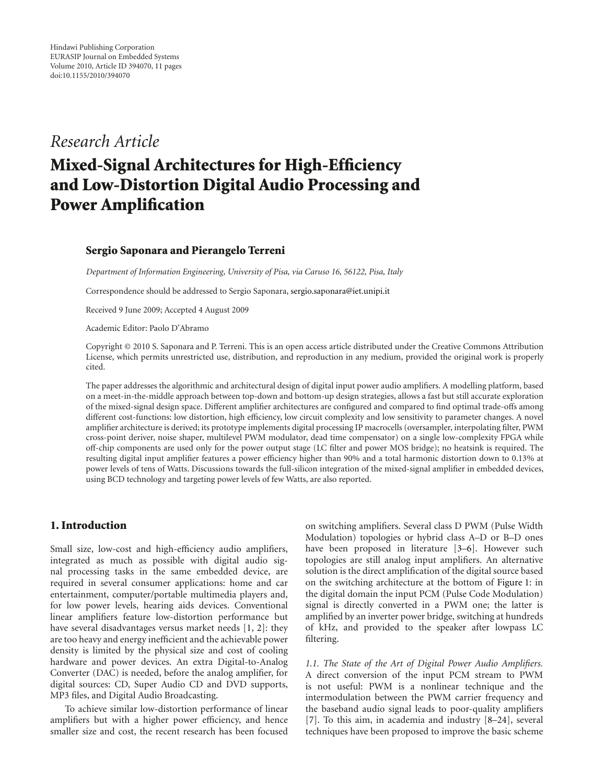# *Research Article*

# **Mixed-Signal Architectures for High-Efficiency and Low-Distortion Digital Audio Processing and Power Amplification**

#### **Sergio Saponara and Pierangelo Terreni**

*Department of Information Engineering, University of Pisa, via Caruso 16, 56122, Pisa, Italy*

Correspondence should be addressed to Sergio Saponara, sergio.saponara@iet.unipi.it

Received 9 June 2009; Accepted 4 August 2009

Academic Editor: Paolo D'Abramo

Copyright © 2010 S. Saponara and P. Terreni. This is an open access article distributed under the Creative Commons Attribution License, which permits unrestricted use, distribution, and reproduction in any medium, provided the original work is properly cited.

The paper addresses the algorithmic and architectural design of digital input power audio amplifiers. A modelling platform, based on a meet-in-the-middle approach between top-down and bottom-up design strategies, allows a fast but still accurate exploration of the mixed-signal design space. Different amplifier architectures are configured and compared to find optimal trade-offs among different cost-functions: low distortion, high efficiency, low circuit complexity and low sensitivity to parameter changes. A novel amplifier architecture is derived; its prototype implements digital processing IP macrocells (oversampler, interpolating filter, PWM cross-point deriver, noise shaper, multilevel PWM modulator, dead time compensator) on a single low-complexity FPGA while off-chip components are used only for the power output stage (LC filter and power MOS bridge); no heatsink is required. The resulting digital input amplifier features a power efficiency higher than 90% and a total harmonic distortion down to 0.13% at power levels of tens of Watts. Discussions towards the full-silicon integration of the mixed-signal amplifier in embedded devices, using BCD technology and targeting power levels of few Watts, are also reported.

## **1. Introduction**

Small size, low-cost and high-efficiency audio amplifiers, integrated as much as possible with digital audio signal processing tasks in the same embedded device, are required in several consumer applications: home and car entertainment, computer/portable multimedia players and, for low power levels, hearing aids devices. Conventional linear amplifiers feature low-distortion performance but have several disadvantages versus market needs [1, 2]: they are too heavy and energy inefficient and the achievable power density is limited by the physical size and cost of cooling hardware and power devices. An extra Digital-to-Analog Converter (DAC) is needed, before the analog amplifier, for digital sources: CD, Super Audio CD and DVD supports, MP3 files, and Digital Audio Broadcasting.

To achieve similar low-distortion performance of linear amplifiers but with a higher power efficiency, and hence smaller size and cost, the recent research has been focused on switching amplifiers. Several class D PWM (Pulse Width Modulation) topologies or hybrid class A–D or B–D ones have been proposed in literature [3-6]. However such topologies are still analog input amplifiers. An alternative solution is the direct amplification of the digital source based on the switching architecture at the bottom of Figure 1: in the digital domain the input PCM (Pulse Code Modulation) signal is directly converted in a PWM one; the latter is amplified by an inverter power bridge, switching at hundreds of kHz, and provided to the speaker after lowpass LC filtering.

*1.1. The State of the Art of Digital Power Audio Amplifiers.* A direct conversion of the input PCM stream to PWM is not useful: PWM is a nonlinear technique and the intermodulation between the PWM carrier frequency and the baseband audio signal leads to poor-quality amplifiers [7]. To this aim, in academia and industry [8–24], several techniques have been proposed to improve the basic scheme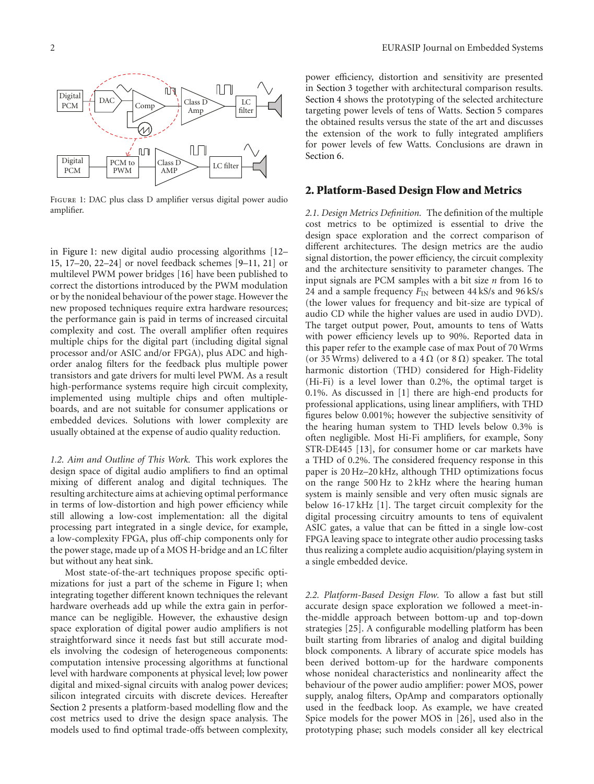Digital PCM

PCM to PWM

LC filte

Figure 1: DAC plus class D amplifier versus digital power audio amplifier.

Class I<br>AMP

in Figure 1: new digital audio processing algorithms [12– 15, 17–20, 22–24] or novel feedback schemes [9–11, 21] or multilevel PWM power bridges [16] have been published to correct the distortions introduced by the PWM modulation or by the nonideal behaviour of the power stage. However the new proposed techniques require extra hardware resources; the performance gain is paid in terms of increased circuital complexity and cost. The overall amplifier often requires multiple chips for the digital part (including digital signal processor and/or ASIC and/or FPGA), plus ADC and highorder analog filters for the feedback plus multiple power transistors and gate drivers for multi level PWM. As a result high-performance systems require high circuit complexity, implemented using multiple chips and often multipleboards, and are not suitable for consumer applications or embedded devices. Solutions with lower complexity are usually obtained at the expense of audio quality reduction.

*1.2. Aim and Outline of This Work.* This work explores the design space of digital audio amplifiers to find an optimal mixing of different analog and digital techniques. The resulting architecture aims at achieving optimal performance in terms of low-distortion and high power efficiency while still allowing a low-cost implementation: all the digital processing part integrated in a single device, for example, a low-complexity FPGA, plus off-chip components only for the power stage, made up of a MOS H-bridge and an LC filter but without any heat sink.

Most state-of-the-art techniques propose specific optimizations for just a part of the scheme in Figure 1; when integrating together different known techniques the relevant hardware overheads add up while the extra gain in performance can be negligible. However, the exhaustive design space exploration of digital power audio amplifiers is not straightforward since it needs fast but still accurate models involving the codesign of heterogeneous components: computation intensive processing algorithms at functional level with hardware components at physical level; low power digital and mixed-signal circuits with analog power devices; silicon integrated circuits with discrete devices. Hereafter Section 2 presents a platform-based modelling flow and the cost metrics used to drive the design space analysis. The models used to find optimal trade-offs between complexity,

power efficiency, distortion and sensitivity are presented in Section 3 together with architectural comparison results. Section 4 shows the prototyping of the selected architecture targeting power levels of tens of Watts. Section 5 compares the obtained results versus the state of the art and discusses the extension of the work to fully integrated amplifiers for power levels of few Watts. Conclusions are drawn in Section 6.

#### **2. Platform-Based Design Flow and Metrics**

*2.1. Design Metrics Definition.* The definition of the multiple cost metrics to be optimized is essential to drive the design space exploration and the correct comparison of different architectures. The design metrics are the audio signal distortion, the power efficiency, the circuit complexity and the architecture sensitivity to parameter changes. The input signals are PCM samples with a bit size *n* from 16 to 24 and a sample frequency  $F_{\text{IN}}$  between 44 kS/s and 96 kS/s (the lower values for frequency and bit-size are typical of audio CD while the higher values are used in audio DVD). The target output power, Pout, amounts to tens of Watts with power efficiency levels up to 90%. Reported data in this paper refer to the example case of max Pout of 70 Wrms (or 35 Wrms) delivered to a 4  $\Omega$  (or 8  $\Omega$ ) speaker. The total harmonic distortion (THD) considered for High-Fidelity (Hi-Fi) is a level lower than 0.2%, the optimal target is 0.1%. As discussed in [1] there are high-end products for professional applications, using linear amplifiers, with THD figures below 0.001%; however the subjective sensitivity of the hearing human system to THD levels below 0.3% is often negligible. Most Hi-Fi amplifiers, for example, Sony STR-DE445 [13], for consumer home or car markets have a THD of 0.2%. The considered frequency response in this paper is 20 Hz–20 kHz, although THD optimizations focus on the range 500 Hz to 2 kHz where the hearing human system is mainly sensible and very often music signals are below 16-17 kHz [1]. The target circuit complexity for the digital processing circuitry amounts to tens of equivalent ASIC gates, a value that can be fitted in a single low-cost FPGA leaving space to integrate other audio processing tasks thus realizing a complete audio acquisition/playing system in a single embedded device.

*2.2. Platform-Based Design Flow.* To allow a fast but still accurate design space exploration we followed a meet-inthe-middle approach between bottom-up and top-down strategies [25]. A configurable modelling platform has been built starting from libraries of analog and digital building block components. A library of accurate spice models has been derived bottom-up for the hardware components whose nonideal characteristics and nonlinearity affect the behaviour of the power audio amplifier: power MOS, power supply, analog filters, OpAmp and comparators optionally used in the feedback loop. As example, we have created Spice models for the power MOS in [26], used also in the prototyping phase; such models consider all key electrical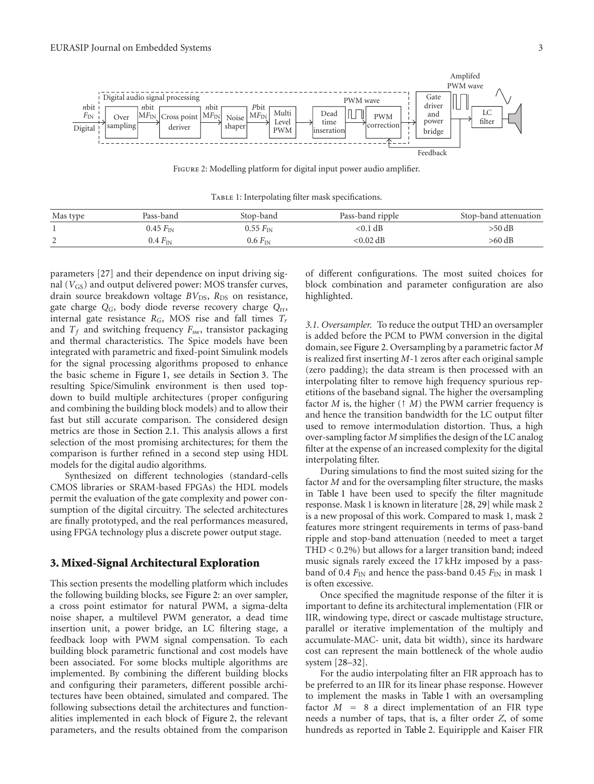

Figure 2: Modelling platform for digital input power audio amplifier.

TABLE 1: Interpolating filter mask specifications.

| Mas type | Pass-band            | Stop-band            | Pass-band ripple | Stop-band attenuation |
|----------|----------------------|----------------------|------------------|-----------------------|
|          | 0.45 F <sub>IN</sub> | $0.55 F_{\text{IN}}$ | <0.1 dB          | >50 dB                |
|          | $0.4 F_{IN}$         | 0.6 F <sub>IN</sub>  | $< 0.02$ dB      | $>60$ dB              |

parameters [27] and their dependence on input driving signal (*V*<sub>GS</sub>) and output delivered power: MOS transfer curves, drain source breakdown voltage  $BV_{DS}$ ,  $R_{DS}$  on resistance, gate charge *QG*, body diode reverse recovery charge *Q*rr, internal gate resistance *RG*, MOS rise and fall times *Tr* and  $T_f$  and switching frequency  $F_{sw}$ , transistor packaging and thermal characteristics. The Spice models have been integrated with parametric and fixed-point Simulink models for the signal processing algorithms proposed to enhance the basic scheme in Figure 1, see details in Section 3. The resulting Spice/Simulink environment is then used topdown to build multiple architectures (proper configuring and combining the building block models) and to allow their fast but still accurate comparison. The considered design metrics are those in Section 2.1. This analysis allows a first selection of the most promising architectures; for them the comparison is further refined in a second step using HDL models for the digital audio algorithms.

Synthesized on different technologies (standard-cells CMOS libraries or SRAM-based FPGAs) the HDL models permit the evaluation of the gate complexity and power consumption of the digital circuitry. The selected architectures are finally prototyped, and the real performances measured, using FPGA technology plus a discrete power output stage.

#### **3. Mixed-Signal Architectural Exploration**

This section presents the modelling platform which includes the following building blocks, see Figure 2: an over sampler, a cross point estimator for natural PWM, a sigma-delta noise shaper, a multilevel PWM generator, a dead time insertion unit, a power bridge, an LC filtering stage, a feedback loop with PWM signal compensation. To each building block parametric functional and cost models have been associated. For some blocks multiple algorithms are implemented. By combining the different building blocks and configuring their parameters, different possible architectures have been obtained, simulated and compared. The following subsections detail the architectures and functionalities implemented in each block of Figure 2, the relevant parameters, and the results obtained from the comparison

of different configurations. The most suited choices for block combination and parameter configuration are also highlighted.

*3.1. Oversampler.* To reduce the output THD an oversampler is added before the PCM to PWM conversion in the digital domain, see Figure 2. Oversampling by a parametric factor *M* is realized first inserting *M*-1 zeros after each original sample (zero padding); the data stream is then processed with an interpolating filter to remove high frequency spurious repetitions of the baseband signal. The higher the oversampling factor *M* is, the higher (↑ *M*) the PWM carrier frequency is and hence the transition bandwidth for the LC output filter used to remove intermodulation distortion. Thus, a high over-sampling factor *M* simplifies the design of the LC analog filter at the expense of an increased complexity for the digital interpolating filter.

During simulations to find the most suited sizing for the factor *M* and for the oversampling filter structure, the masks in Table 1 have been used to specify the filter magnitude response. Mask 1 is known in literature [28, 29] while mask 2 is a new proposal of this work. Compared to mask 1, mask 2 features more stringent requirements in terms of pass-band ripple and stop-band attenuation (needed to meet a target THD *<* 0.2%) but allows for a larger transition band; indeed music signals rarely exceed the 17 kHz imposed by a passband of 0.4  $F_{IN}$  and hence the pass-band 0.45  $F_{IN}$  in mask 1 is often excessive.

Once specified the magnitude response of the filter it is important to define its architectural implementation (FIR or IIR, windowing type, direct or cascade multistage structure, parallel or iterative implementation of the multiply and accumulate-MAC- unit, data bit width), since its hardware cost can represent the main bottleneck of the whole audio system [28–32].

For the audio interpolating filter an FIR approach has to be preferred to an IIR for its linear phase response. However to implement the masks in Table 1 with an oversampling factor  $M = 8$  a direct implementation of an FIR type needs a number of taps, that is, a filter order *Z*, of some hundreds as reported in Table 2. Equiripple and Kaiser FIR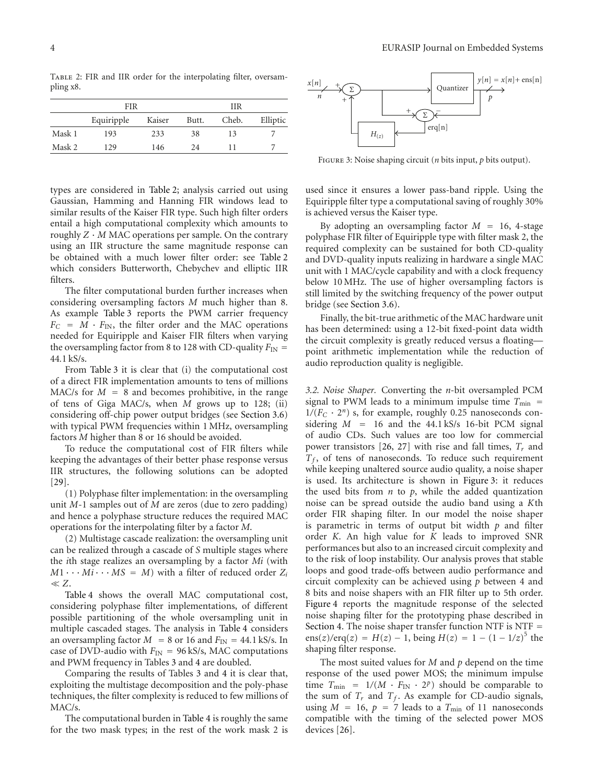Table 2: FIR and IIR order for the interpolating filter, oversampling x8.

|        | <b>FIR</b> |        |       | НR    |          |  |
|--------|------------|--------|-------|-------|----------|--|
|        | Equiripple | Kaiser | Butt. | Cheb. | Elliptic |  |
| Mask 1 | 193        | 233    | 38    | 13    |          |  |
| Mask 2 | 129        | 146    | 24    |       |          |  |

types are considered in Table 2; analysis carried out using Gaussian, Hamming and Hanning FIR windows lead to similar results of the Kaiser FIR type. Such high filter orders entail a high computational complexity which amounts to roughly  $Z \cdot M$  MAC operations per sample. On the contrary using an IIR structure the same magnitude response can be obtained with a much lower filter order: see Table 2 which considers Butterworth, Chebychev and elliptic IIR filters.

The filter computational burden further increases when considering oversampling factors *M* much higher than 8. As example Table 3 reports the PWM carrier frequency  $F_C$  =  $M \cdot F_{IN}$ , the filter order and the MAC operations needed for Equiripple and Kaiser FIR filters when varying the oversampling factor from 8 to 128 with CD-quality  $F_{\text{IN}} =$ 44*.*1 kS/s.

From Table 3 it is clear that (i) the computational cost of a direct FIR implementation amounts to tens of millions MAC/s for  $M = 8$  and becomes prohibitive, in the range of tens of Giga MAC/s, when *M* grows up to 128; (ii) considering off-chip power output bridges (see Section 3.6) with typical PWM frequencies within 1 MHz, oversampling factors *M* higher than 8 or 16 should be avoided.

To reduce the computational cost of FIR filters while keeping the advantages of their better phase response versus IIR structures, the following solutions can be adopted [29].

(1) Polyphase filter implementation: in the oversampling unit *M*-1 samples out of *M* are zeros (due to zero padding) and hence a polyphase structure reduces the required MAC operations for the interpolating filter by a factor *M*.

(2) Multistage cascade realization: the oversampling unit can be realized through a cascade of *S* multiple stages where the *i*th stage realizes an oversampling by a factor *Mi* (with  $M1 \cdots Mi \cdots MS = M$ ) with a filter of reduced order  $Z_i$ *Z*.

Table 4 shows the overall MAC computational cost, considering polyphase filter implementations, of different possible partitioning of the whole oversampling unit in multiple cascaded stages. The analysis in Table 4 considers an oversampling factor  $M = 8$  or 16 and  $F_{IN} = 44.1$  kS/s. In case of DVD-audio with  $F_{IN} = 96$  kS/s, MAC computations and PWM frequency in Tables 3 and 4 are doubled.

Comparing the results of Tables 3 and 4 it is clear that, exploiting the multistage decomposition and the poly-phase techniques, the filter complexity is reduced to few millions of MAC/s.

The computational burden in Table 4 is roughly the same for the two mask types; in the rest of the work mask 2 is



Figure 3: Noise shaping circuit (*n* bits input, *p* bits output).

used since it ensures a lower pass-band ripple. Using the Equiripple filter type a computational saving of roughly 30% is achieved versus the Kaiser type.

By adopting an oversampling factor  $M = 16$ , 4-stage polyphase FIR filter of Equiripple type with filter mask 2, the required complexity can be sustained for both CD-quality and DVD-quality inputs realizing in hardware a single MAC unit with 1 MAC/cycle capability and with a clock frequency below 10 MHz. The use of higher oversampling factors is still limited by the switching frequency of the power output bridge (see Section 3.6).

Finally, the bit-true arithmetic of the MAC hardware unit has been determined: using a 12-bit fixed-point data width the circuit complexity is greatly reduced versus a floating point arithmetic implementation while the reduction of audio reproduction quality is negligible.

*3.2. Noise Shaper.* Converting the *n*-bit oversampled PCM signal to PWM leads to a minimum impulse time  $T_{\text{min}}$  =  $1/(F_C \cdot 2^n)$  s, for example, roughly 0.25 nanoseconds considering  $M = 16$  and the 44.1 kS/s 16-bit PCM signal of audio CDs. Such values are too low for commercial power transistors [26, 27] with rise and fall times, *T<sup>r</sup>* and *T<sup>f</sup>* , of tens of nanoseconds. To reduce such requirement while keeping unaltered source audio quality, a noise shaper is used. Its architecture is shown in Figure 3: it reduces the used bits from  $n$  to  $p$ , while the added quantization noise can be spread outside the audio band using a *K*th order FIR shaping filter. In our model the noise shaper is parametric in terms of output bit width *p* and filter order *K*. An high value for *K* leads to improved SNR performances but also to an increased circuit complexity and to the risk of loop instability. Our analysis proves that stable loops and good trade-offs between audio performance and circuit complexity can be achieved using *p* between 4 and 8 bits and noise shapers with an FIR filter up to 5th order. Figure 4 reports the magnitude response of the selected noise shaping filter for the prototyping phase described in Section 4. The noise shaper transfer function NTF is NTF  $=$ ens(*z*)/erq(*z*) = *H*(*z*) – 1, being *H*(*z*) = 1 – (1 – 1/*z*)<sup>5</sup> the shaping filter response.

The most suited values for *M* and *p* depend on the time response of the used power MOS; the minimum impulse time  $T_{\text{min}} = 1/(M \cdot F_{\text{IN}} \cdot 2^p)$  should be comparable to the sum of  $T_r$  and  $T_f$ . As example for CD-audio signals, using  $M = 16$ ,  $p = 7$  leads to a  $T_{\text{min}}$  of 11 nanoseconds compatible with the timing of the selected power MOS devices [26].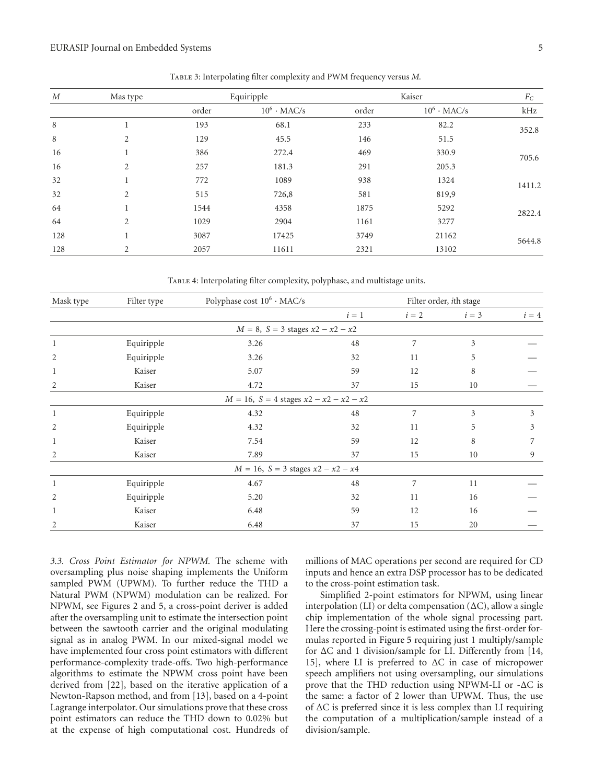| $\boldsymbol{M}$ | Mas type       |       | Equiripple                |       | Kaiser                    | $F_C$  |
|------------------|----------------|-------|---------------------------|-------|---------------------------|--------|
|                  |                | order | $10^6 \cdot \text{MAC/s}$ | order | $10^6 \cdot \text{MAC/s}$ | kHz    |
| 8                |                | 193   | 68.1                      | 233   | 82.2                      | 352.8  |
| 8                | 2              | 129   | 45.5                      | 146   | 51.5                      |        |
| 16               |                | 386   | 272.4                     | 469   | 330.9                     | 705.6  |
| 16               | 2              | 257   | 181.3                     | 291   | 205.3                     |        |
| 32               |                | 772   | 1089                      | 938   | 1324                      | 1411.2 |
| 32               | $\overline{c}$ | 515   | 726,8                     | 581   | 819,9                     |        |
| 64               |                | 1544  | 4358                      | 1875  | 5292                      | 2822.4 |
| 64               | 2              | 1029  | 2904                      | 1161  | 3277                      |        |
| 128              |                | 3087  | 17425                     | 3749  | 21162                     | 5644.8 |
| 128              | $\overline{2}$ | 2057  | 11611                     | 2321  | 13102                     |        |

Table 3: Interpolating filter complexity and PWM frequency versus *M.*

Table 4: Interpolating filter complexity, polyphase, and multistage units.

| Mask type    | Filter type                                       | Polyphase cost $10^6 \cdot \text{MAC/s}$    |       | Filter order, <i>ith</i> stage |       |       |  |
|--------------|---------------------------------------------------|---------------------------------------------|-------|--------------------------------|-------|-------|--|
|              |                                                   |                                             | $i=1$ | $i=2$                          | $i=3$ | $i=4$ |  |
|              |                                                   | $M = 8$ , $S = 3$ stages $x^2 - x^2 - x^2$  |       |                                |       |       |  |
| 1            | Equiripple                                        | 3.26                                        | 48    | 7                              | 3     |       |  |
| 2            | Equiripple                                        | 3.26                                        | 32    | 11                             | 5     |       |  |
| 1            | Kaiser                                            | 5.07                                        | 59    | 12                             | 8     |       |  |
| 2            | Kaiser                                            | 4.72                                        | 37    | 15                             | 10    |       |  |
|              | $M = 16$ , $S = 4$ stages $x^2 - x^2 - x^2 - x^2$ |                                             |       |                                |       |       |  |
| 1            | Equiripple                                        | 4.32                                        | 48    | 7                              | 3     | 3     |  |
| 2            | Equiripple                                        | 4.32                                        | 32    | 11                             | 5     | 3     |  |
| 1            | Kaiser                                            | 7.54                                        | 59    | 12                             | 8     |       |  |
| 2            | Kaiser                                            | 7.89                                        | 37    | 15                             | 10    | 9     |  |
|              |                                                   | $M = 16$ , $S = 3$ stages $x^2 - x^2 - x^4$ |       |                                |       |       |  |
| 1            | Equiripple                                        | 4.67                                        | 48    | 7                              | 11    |       |  |
| 2            | Equiripple                                        | 5.20                                        | 32    | 11                             | 16    |       |  |
| $\mathbf{1}$ | Kaiser                                            | 6.48                                        | 59    | 12                             | 16    |       |  |
| 2            | Kaiser                                            | 6.48                                        | 37    | 15                             | 20    |       |  |

*3.3. Cross Point Estimator for NPWM.* The scheme with oversampling plus noise shaping implements the Uniform sampled PWM (UPWM). To further reduce the THD a Natural PWM (NPWM) modulation can be realized. For NPWM, see Figures 2 and 5, a cross-point deriver is added after the oversampling unit to estimate the intersection point between the sawtooth carrier and the original modulating signal as in analog PWM. In our mixed-signal model we have implemented four cross point estimators with different performance-complexity trade-offs. Two high-performance algorithms to estimate the NPWM cross point have been derived from [22], based on the iterative application of a Newton-Rapson method, and from [13], based on a 4-point Lagrange interpolator. Our simulations prove that these cross point estimators can reduce the THD down to 0.02% but at the expense of high computational cost. Hundreds of

millions of MAC operations per second are required for CD inputs and hence an extra DSP processor has to be dedicated to the cross-point estimation task.

Simplified 2-point estimators for NPWM, using linear interpolation (LI) or delta compensation ( $\Delta C$ ), allow a single chip implementation of the whole signal processing part. Here the crossing-point is estimated using the first-order formulas reported in Figure 5 requiring just 1 multiply/sample for ΔC and 1 division/sample for LI. Differently from [14, 15], where LI is preferred to  $\Delta C$  in case of micropower speech amplifiers not using oversampling, our simulations prove that the THD reduction using NPWM-LI or -ΔC is the same: a factor of 2 lower than UPWM. Thus, the use of ΔC is preferred since it is less complex than LI requiring the computation of a multiplication/sample instead of a division/sample.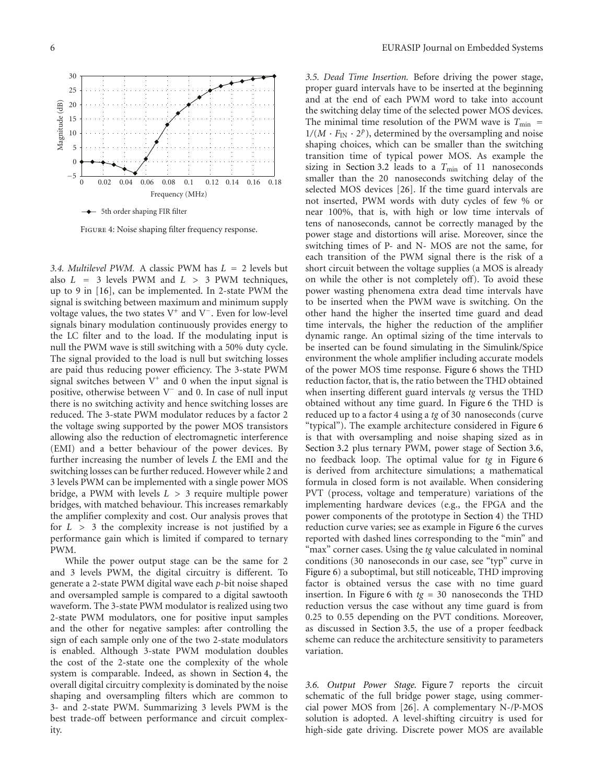

FIGURE 4: Noise shaping filter frequency response.

*3.4. Multilevel PWM.* A classic PWM has *L* = 2 levels but also  $L = 3$  levels PWM and  $L > 3$  PWM techniques, up to 9 in [16], can be implemented. In 2-state PWM the signal is switching between maximum and minimum supply voltage values, the two states  $V^+$  and  $V^-$ . Even for low-level signals binary modulation continuously provides energy to the LC filter and to the load. If the modulating input is null the PWM wave is still switching with a 50% duty cycle. The signal provided to the load is null but switching losses are paid thus reducing power efficiency. The 3-state PWM signal switches between  $V^+$  and 0 when the input signal is positive, otherwise between V<sup>−</sup> and 0. In case of null input there is no switching activity and hence switching losses are reduced. The 3-state PWM modulator reduces by a factor 2 the voltage swing supported by the power MOS transistors allowing also the reduction of electromagnetic interference (EMI) and a better behaviour of the power devices. By further increasing the number of levels *L* the EMI and the switching losses can be further reduced. However while 2 and 3 levels PWM can be implemented with a single power MOS bridge, a PWM with levels *L >* 3 require multiple power bridges, with matched behaviour. This increases remarkably the amplifier complexity and cost. Our analysis proves that for  $L > 3$  the complexity increase is not justified by a performance gain which is limited if compared to ternary PWM.

While the power output stage can be the same for 2 and 3 levels PWM, the digital circuitry is different. To generate a 2-state PWM digital wave each *p*-bit noise shaped and oversampled sample is compared to a digital sawtooth waveform. The 3-state PWM modulator is realized using two 2-state PWM modulators, one for positive input samples and the other for negative samples: after controlling the sign of each sample only one of the two 2-state modulators is enabled. Although 3-state PWM modulation doubles the cost of the 2-state one the complexity of the whole system is comparable. Indeed, as shown in Section 4, the overall digital circuitry complexity is dominated by the noise shaping and oversampling filters which are common to 3- and 2-state PWM. Summarizing 3 levels PWM is the best trade-off between performance and circuit complexity.

*3.5. Dead Time Insertion.* Before driving the power stage, proper guard intervals have to be inserted at the beginning and at the end of each PWM word to take into account the switching delay time of the selected power MOS devices. The minimal time resolution of the PWM wave is  $T_{\text{min}}$  =  $1/(M \cdot F_{\text{IN}} \cdot 2^p)$ , determined by the oversampling and noise shaping choices, which can be smaller than the switching transition time of typical power MOS. As example the sizing in Section 3.2 leads to a  $T_{\text{min}}$  of 11 nanoseconds smaller than the 20 nanoseconds switching delay of the selected MOS devices [26]. If the time guard intervals are not inserted, PWM words with duty cycles of few % or near 100%, that is, with high or low time intervals of tens of nanoseconds, cannot be correctly managed by the power stage and distortions will arise. Moreover, since the switching times of P- and N- MOS are not the same, for each transition of the PWM signal there is the risk of a short circuit between the voltage supplies (a MOS is already on while the other is not completely off). To avoid these power wasting phenomena extra dead time intervals have to be inserted when the PWM wave is switching. On the other hand the higher the inserted time guard and dead time intervals, the higher the reduction of the amplifier dynamic range. An optimal sizing of the time intervals to be inserted can be found simulating in the Simulink/Spice environment the whole amplifier including accurate models of the power MOS time response. Figure 6 shows the THD reduction factor, that is, the ratio between the THD obtained when inserting different guard intervals *tg* versus the THD obtained without any time guard. In Figure 6 the THD is reduced up to a factor 4 using a *tg* of 30 nanoseconds (curve "typical"). The example architecture considered in Figure 6 is that with oversampling and noise shaping sized as in Section 3.2 plus ternary PWM, power stage of Section 3.6, no feedback loop. The optimal value for *tg* in Figure 6 is derived from architecture simulations; a mathematical formula in closed form is not available. When considering PVT (process, voltage and temperature) variations of the implementing hardware devices (e.g., the FPGA and the power components of the prototype in Section 4) the THD reduction curve varies; see as example in Figure 6 the curves reported with dashed lines corresponding to the "min" and "max" corner cases. Using the *tg* value calculated in nominal conditions (30 nanoseconds in our case, see "typ" curve in Figure 6) a suboptimal, but still noticeable, THD improving factor is obtained versus the case with no time guard insertion. In Figure 6 with *tg* = 30 nanoseconds the THD reduction versus the case without any time guard is from 0.25 to 0.55 depending on the PVT conditions. Moreover, as discussed in Section 3.5, the use of a proper feedback scheme can reduce the architecture sensitivity to parameters variation.

*3.6. Output Power Stage.* Figure 7 reports the circuit schematic of the full bridge power stage, using commercial power MOS from [26]. A complementary N-/P-MOS solution is adopted. A level-shifting circuitry is used for high-side gate driving. Discrete power MOS are available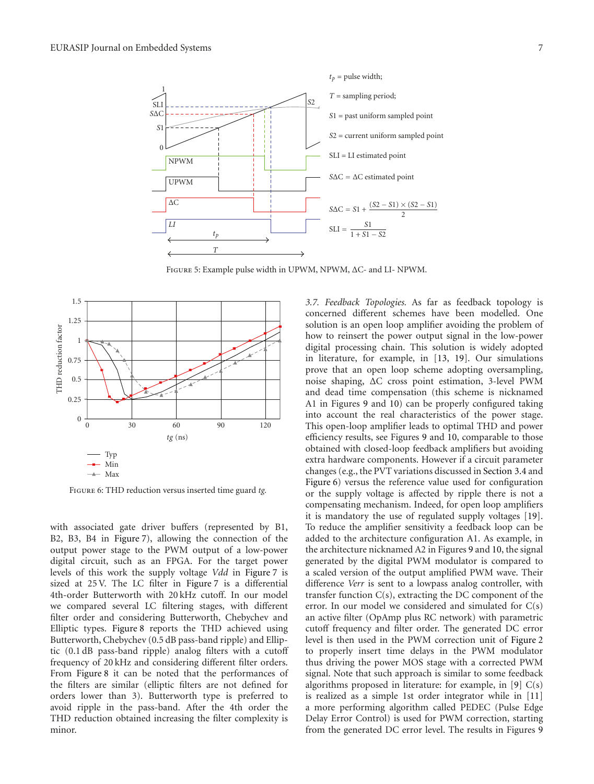

Figure 5: Example pulse width in UPWM, NPWM, ΔC- and LI- NPWM.



Figure 6: THD reduction versus inserted time guard *tg.*

with associated gate driver buffers (represented by B1, B2, B3, B4 in Figure 7), allowing the connection of the output power stage to the PWM output of a low-power digital circuit, such as an FPGA. For the target power levels of this work the supply voltage *Vdd* in Figure 7 is sized at 25 V. The LC filter in Figure 7 is a differential 4th-order Butterworth with 20 kHz cutoff. In our model we compared several LC filtering stages, with different filter order and considering Butterworth, Chebychev and Elliptic types. Figure 8 reports the THD achieved using Butterworth, Chebychev (0.5 dB pass-band ripple) and Elliptic (0.1 dB pass-band ripple) analog filters with a cutoff frequency of 20 kHz and considering different filter orders. From Figure 8 it can be noted that the performances of the filters are similar (elliptic filters are not defined for orders lower than 3). Butterworth type is preferred to avoid ripple in the pass-band. After the 4th order the THD reduction obtained increasing the filter complexity is minor.

*3.7. Feedback Topologies.* As far as feedback topology is concerned different schemes have been modelled. One solution is an open loop amplifier avoiding the problem of how to reinsert the power output signal in the low-power digital processing chain. This solution is widely adopted in literature, for example, in [13, 19]. Our simulations prove that an open loop scheme adopting oversampling, noise shaping, ΔC cross point estimation, 3-level PWM and dead time compensation (this scheme is nicknamed A1 in Figures 9 and 10) can be properly configured taking into account the real characteristics of the power stage. This open-loop amplifier leads to optimal THD and power efficiency results, see Figures 9 and 10, comparable to those obtained with closed-loop feedback amplifiers but avoiding extra hardware components. However if a circuit parameter changes (e.g., the PVT variations discussed in Section 3.4 and Figure 6) versus the reference value used for configuration or the supply voltage is affected by ripple there is not a compensating mechanism. Indeed, for open loop amplifiers it is mandatory the use of regulated supply voltages [19]. To reduce the amplifier sensitivity a feedback loop can be added to the architecture configuration A1. As example, in the architecture nicknamed A2 in Figures 9 and 10, the signal generated by the digital PWM modulator is compared to a scaled version of the output amplified PWM wave. Their difference *Verr* is sent to a lowpass analog controller, with transfer function C(s), extracting the DC component of the error. In our model we considered and simulated for C(s) an active filter (OpAmp plus RC network) with parametric cutoff frequency and filter order. The generated DC error level is then used in the PWM correction unit of Figure 2 to properly insert time delays in the PWM modulator thus driving the power MOS stage with a corrected PWM signal. Note that such approach is similar to some feedback algorithms proposed in literature: for example, in  $[9]$  C(s) is realized as a simple 1st order integrator while in [11] a more performing algorithm called PEDEC (Pulse Edge Delay Error Control) is used for PWM correction, starting from the generated DC error level. The results in Figures 9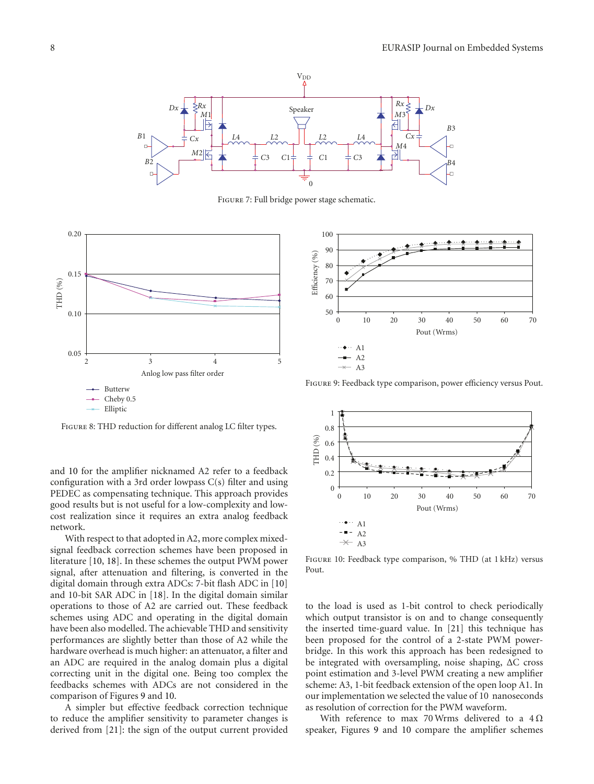

Figure 7: Full bridge power stage schematic.



Figure 8: THD reduction for different analog LC filter types.

and 10 for the amplifier nicknamed A2 refer to a feedback configuration with a 3rd order lowpass  $C(s)$  filter and using PEDEC as compensating technique. This approach provides good results but is not useful for a low-complexity and lowcost realization since it requires an extra analog feedback network.

With respect to that adopted in A2, more complex mixedsignal feedback correction schemes have been proposed in literature [10, 18]. In these schemes the output PWM power signal, after attenuation and filtering, is converted in the digital domain through extra ADCs: 7-bit flash ADC in [10] and 10-bit SAR ADC in [18]. In the digital domain similar operations to those of A2 are carried out. These feedback schemes using ADC and operating in the digital domain have been also modelled. The achievable THD and sensitivity performances are slightly better than those of A2 while the hardware overhead is much higher: an attenuator, a filter and an ADC are required in the analog domain plus a digital correcting unit in the digital one. Being too complex the feedbacks schemes with ADCs are not considered in the comparison of Figures 9 and 10.

A simpler but effective feedback correction technique to reduce the amplifier sensitivity to parameter changes is derived from [21]: the sign of the output current provided



Figure 9: Feedback type comparison, power efficiency versus Pout.



Figure 10: Feedback type comparison, % THD (at 1 kHz) versus Pout.

to the load is used as 1-bit control to check periodically which output transistor is on and to change consequently the inserted time-guard value. In [21] this technique has been proposed for the control of a 2-state PWM powerbridge. In this work this approach has been redesigned to be integrated with oversampling, noise shaping, ΔC cross point estimation and 3-level PWM creating a new amplifier scheme: A3, 1-bit feedback extension of the open loop A1. In our implementation we selected the value of 10 nanoseconds as resolution of correction for the PWM waveform.

With reference to max 70 Wrms delivered to a  $4 \Omega$ speaker, Figures 9 and 10 compare the amplifier schemes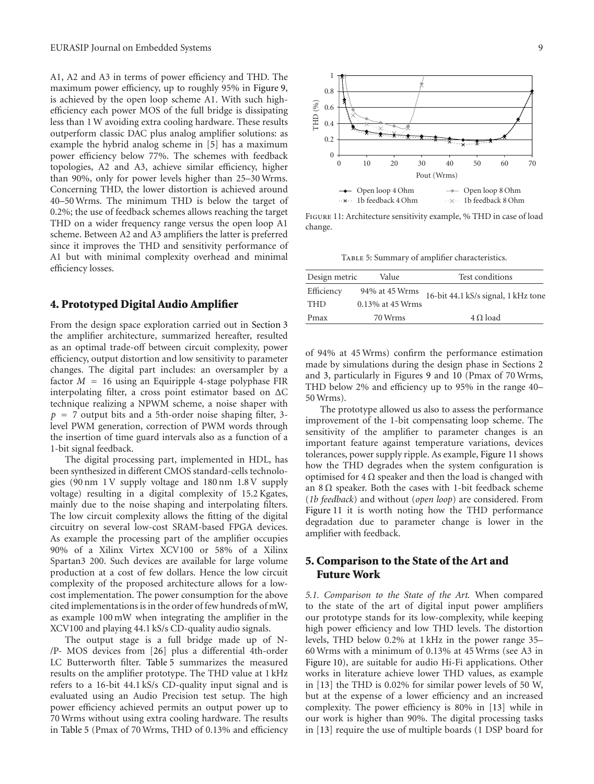A1, A2 and A3 in terms of power efficiency and THD. The maximum power efficiency, up to roughly 95% in Figure 9, is achieved by the open loop scheme A1. With such highefficiency each power MOS of the full bridge is dissipating less than 1 W avoiding extra cooling hardware. These results outperform classic DAC plus analog amplifier solutions: as example the hybrid analog scheme in [5] has a maximum power efficiency below 77%. The schemes with feedback topologies, A2 and A3, achieve similar efficiency, higher than 90%, only for power levels higher than 25–30 Wrms. Concerning THD, the lower distortion is achieved around 40–50 Wrms. The minimum THD is below the target of 0.2%; the use of feedback schemes allows reaching the target THD on a wider frequency range versus the open loop A1 scheme. Between A2 and A3 amplifiers the latter is preferred since it improves the THD and sensitivity performance of A1 but with minimal complexity overhead and minimal efficiency losses.

#### **4. Prototyped Digital Audio Amplifier**

From the design space exploration carried out in Section 3 the amplifier architecture, summarized hereafter, resulted as an optimal trade-off between circuit complexity, power efficiency, output distortion and low sensitivity to parameter changes. The digital part includes: an oversampler by a factor  $M = 16$  using an Equiripple 4-stage polyphase FIR interpolating filter, a cross point estimator based on ΔC technique realizing a NPWM scheme, a noise shaper with  $p = 7$  output bits and a 5th-order noise shaping filter, 3level PWM generation, correction of PWM words through the insertion of time guard intervals also as a function of a 1-bit signal feedback.

The digital processing part, implemented in HDL, has been synthesized in different CMOS standard-cells technologies (90 nm 1 V supply voltage and 180 nm 1.8 V supply voltage) resulting in a digital complexity of 15.2 Kgates, mainly due to the noise shaping and interpolating filters. The low circuit complexity allows the fitting of the digital circuitry on several low-cost SRAM-based FPGA devices. As example the processing part of the amplifier occupies 90% of a Xilinx Virtex XCV100 or 58% of a Xilinx Spartan3 200. Such devices are available for large volume production at a cost of few dollars. Hence the low circuit complexity of the proposed architecture allows for a lowcost implementation. The power consumption for the above cited implementations is in the order of few hundreds of mW, as example 100 mW when integrating the amplifier in the XCV100 and playing 44.1 kS/s CD-quality audio signals.

The output stage is a full bridge made up of N- /P- MOS devices from [26] plus a differential 4th-order LC Butterworth filter. Table 5 summarizes the measured results on the amplifier prototype. The THD value at 1 kHz refers to a 16-bit 44.1 kS/s CD-quality input signal and is evaluated using an Audio Precision test setup. The high power efficiency achieved permits an output power up to 70 Wrms without using extra cooling hardware. The results in Table 5 (Pmax of 70 Wrms, THD of 0.13% and efficiency



Figure 11: Architecture sensitivity example, % THD in case of load change.

TABLE 5: Summary of amplifier characteristics.

| Design metric | Value            | Test conditions                     |  |  |
|---------------|------------------|-------------------------------------|--|--|
| Efficiency    | 94% at 45 Wrms   | 16-bit 44.1 kS/s signal, 1 kHz tone |  |  |
| <b>THD</b>    | 0.13% at 45 Wrms |                                     |  |  |
| Pmax          | 70 Wrms          | $4 \Omega$ load                     |  |  |
|               |                  |                                     |  |  |

of 94% at 45 Wrms) confirm the performance estimation made by simulations during the design phase in Sections 2 and 3, particularly in Figures 9 and 10 (Pmax of 70 Wrms, THD below 2% and efficiency up to 95% in the range 40– 50 Wrms).

The prototype allowed us also to assess the performance improvement of the 1-bit compensating loop scheme. The sensitivity of the amplifier to parameter changes is an important feature against temperature variations, devices tolerances, power supply ripple. As example, Figure 11 shows how the THD degrades when the system configuration is optimised for 4 Ω speaker and then the load is changed with an 8  $\Omega$  speaker. Both the cases with 1-bit feedback scheme (*1b feedback*) and without (*open loop*) are considered. From Figure 11 it is worth noting how the THD performance degradation due to parameter change is lower in the amplifier with feedback.

## **5. Comparison to the State of the Art and Future Work**

*5.1. Comparison to the State of the Art.* When compared to the state of the art of digital input power amplifiers our prototype stands for its low-complexity, while keeping high power efficiency and low THD levels. The distortion levels, THD below 0.2% at 1 kHz in the power range 35– 60 Wrms with a minimum of 0.13% at 45 Wrms (see A3 in Figure 10), are suitable for audio Hi-Fi applications. Other works in literature achieve lower THD values, as example in [13] the THD is 0.02% for similar power levels of 50 W, but at the expense of a lower efficiency and an increased complexity. The power efficiency is 80% in [13] while in our work is higher than 90%. The digital processing tasks in [13] require the use of multiple boards (1 DSP board for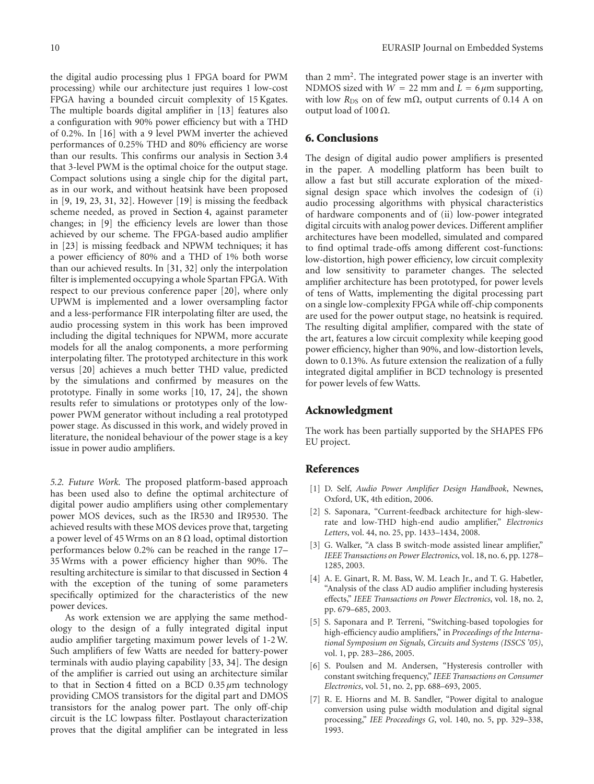the digital audio processing plus 1 FPGA board for PWM processing) while our architecture just requires 1 low-cost FPGA having a bounded circuit complexity of 15 Kgates. The multiple boards digital amplifier in [13] features also a configuration with 90% power efficiency but with a THD of 0.2%. In [16] with a 9 level PWM inverter the achieved performances of 0.25% THD and 80% efficiency are worse than our results. This confirms our analysis in Section 3.4 that 3-level PWM is the optimal choice for the output stage. Compact solutions using a single chip for the digital part, as in our work, and without heatsink have been proposed in [9, 19, 23, 31, 32]. However [19] is missing the feedback scheme needed, as proved in Section 4, against parameter changes; in [9] the efficiency levels are lower than those achieved by our scheme. The FPGA-based audio amplifier in [23] is missing feedback and NPWM techniques; it has a power efficiency of 80% and a THD of 1% both worse than our achieved results. In [31, 32] only the interpolation filter is implemented occupying a whole Spartan FPGA. With respect to our previous conference paper [20], where only UPWM is implemented and a lower oversampling factor and a less-performance FIR interpolating filter are used, the audio processing system in this work has been improved including the digital techniques for NPWM, more accurate models for all the analog components, a more performing interpolating filter. The prototyped architecture in this work versus [20] achieves a much better THD value, predicted by the simulations and confirmed by measures on the prototype. Finally in some works [10, 17, 24], the shown results refer to simulations or prototypes only of the lowpower PWM generator without including a real prototyped power stage. As discussed in this work, and widely proved in literature, the nonideal behaviour of the power stage is a key issue in power audio amplifiers.

*5.2. Future Work.* The proposed platform-based approach has been used also to define the optimal architecture of digital power audio amplifiers using other complementary power MOS devices, such as the IR530 and IR9530. The achieved results with these MOS devices prove that, targeting a power level of 45 Wrms on an 8 Ω load, optimal distortion performances below 0.2% can be reached in the range 17– 35 Wrms with a power efficiency higher than 90%. The resulting architecture is similar to that discussed in Section 4 with the exception of the tuning of some parameters specifically optimized for the characteristics of the new power devices.

As work extension we are applying the same methodology to the design of a fully integrated digital input audio amplifier targeting maximum power levels of 1-2 W. Such amplifiers of few Watts are needed for battery-power terminals with audio playing capability [33, 34]. The design of the amplifier is carried out using an architecture similar to that in Section 4 fitted on a BCD 0.35 *μ*m technology providing CMOS transistors for the digital part and DMOS transistors for the analog power part. The only off-chip circuit is the LC lowpass filter. Postlayout characterization proves that the digital amplifier can be integrated in less

than  $2 \text{ mm}^2$ . The integrated power stage is an inverter with NDMOS sized with  $W = 22$  mm and  $L = 6 \mu m$  supporting, with low  $R_{DS}$  on of few m $\Omega$ , output currents of 0.14 A on output load of 100  $Ω$ .

#### **6. Conclusions**

The design of digital audio power amplifiers is presented in the paper. A modelling platform has been built to allow a fast but still accurate exploration of the mixedsignal design space which involves the codesign of (i) audio processing algorithms with physical characteristics of hardware components and of (ii) low-power integrated digital circuits with analog power devices. Different amplifier architectures have been modelled, simulated and compared to find optimal trade-offs among different cost-functions: low-distortion, high power efficiency, low circuit complexity and low sensitivity to parameter changes. The selected amplifier architecture has been prototyped, for power levels of tens of Watts, implementing the digital processing part on a single low-complexity FPGA while off-chip components are used for the power output stage, no heatsink is required. The resulting digital amplifier, compared with the state of the art, features a low circuit complexity while keeping good power efficiency, higher than 90%, and low-distortion levels, down to 0.13%. As future extension the realization of a fully integrated digital amplifier in BCD technology is presented for power levels of few Watts.

#### **Acknowledgment**

The work has been partially supported by the SHAPES FP6 EU project.

#### **References**

- [1] D. Self, *Audio Power Amplifier Design Handbook*, Newnes, Oxford, UK, 4th edition, 2006.
- [2] S. Saponara, "Current-feedback architecture for high-slewrate and low-THD high-end audio amplifier," *Electronics Letters*, vol. 44, no. 25, pp. 1433–1434, 2008.
- [3] G. Walker, "A class B switch-mode assisted linear amplifier," *IEEE Transactions on Power Electronics*, vol. 18, no. 6, pp. 1278– 1285, 2003.
- [4] A. E. Ginart, R. M. Bass, W. M. Leach Jr., and T. G. Habetler, "Analysis of the class AD audio amplifier including hysteresis effects," *IEEE Transactions on Power Electronics*, vol. 18, no. 2, pp. 679–685, 2003.
- [5] S. Saponara and P. Terreni, "Switching-based topologies for high-efficiency audio amplifiers," in *Proceedings of the International Symposium on Signals, Circuits and Systems (ISSCS '05)*, vol. 1, pp. 283–286, 2005.
- [6] S. Poulsen and M. Andersen, "Hysteresis controller with constant switching frequency," *IEEE Transactions on Consumer Electronics*, vol. 51, no. 2, pp. 688–693, 2005.
- [7] R. E. Hiorns and M. B. Sandler, "Power digital to analogue conversion using pulse width modulation and digital signal processing," *IEE Proceedings G*, vol. 140, no. 5, pp. 329–338, 1993.